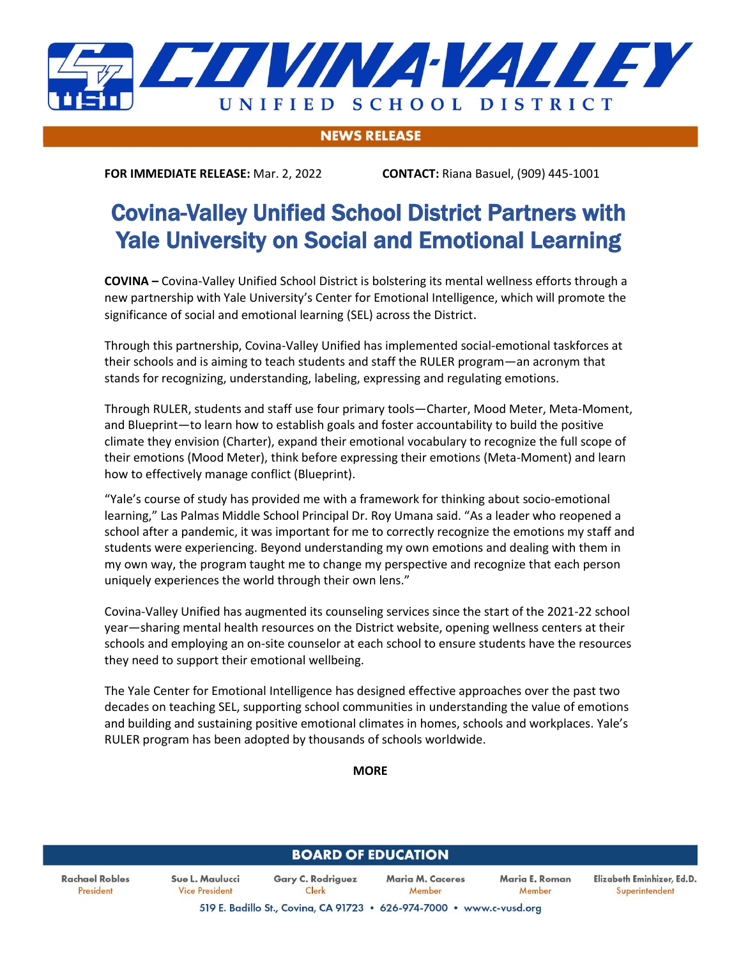

## **NEWS RELEASE**

**FOR IMMEDIATE RELEASE:** Mar. 2, 2022 **CONTACT:** Riana Basuel, (909) 445-1001

## Covina-Valley Unified School District Partners with Yale University on Social and Emotional Learning

**COVINA –** Covina-Valley Unified School District is bolstering its mental wellness efforts through a new partnership with Yale University's Center for Emotional Intelligence, which will promote the significance of social and emotional learning (SEL) across the District.

Through this partnership, Covina-Valley Unified has implemented social-emotional taskforces at their schools and is aiming to teach students and staff the RULER program—an acronym that stands for recognizing, understanding, labeling, expressing and regulating emotions.

Through RULER, students and staff use four primary tools—Charter, Mood Meter, Meta-Moment, and Blueprint—to learn how to establish goals and foster accountability to build the positive climate they envision (Charter), expand their emotional vocabulary to recognize the full scope of their emotions (Mood Meter), think before expressing their emotions (Meta-Moment) and learn how to effectively manage conflict (Blueprint).

"Yale's course of study has provided me with a framework for thinking about socio-emotional learning," Las Palmas Middle School Principal Dr. Roy Umana said. "As a leader who reopened a school after a pandemic, it was important for me to correctly recognize the emotions my staff and students were experiencing. Beyond understanding my own emotions and dealing with them in my own way, the program taught me to change my perspective and recognize that each person uniquely experiences the world through their own lens."

Covina-Valley Unified has augmented its counseling services since the start of the 2021-22 school year—sharing mental health resources on the District website, opening wellness centers at their schools and employing an on-site counselor at each school to ensure students have the resources they need to support their emotional wellbeing.

The Yale Center for Emotional Intelligence has designed effective approaches over the past two decades on teaching SEL, supporting school communities in understanding the value of emotions and building and sustaining positive emotional climates in homes, schools and workplaces. Yale's RULER program has been adopted by thousands of schools worldwide.

**MORE**

| <b>BOARD OF EDUCATION</b>   |                                          |                                                                      |                            |                          |                                              |
|-----------------------------|------------------------------------------|----------------------------------------------------------------------|----------------------------|--------------------------|----------------------------------------------|
| Rachael Robles<br>President | Sue L. Maulucci<br><b>Vice President</b> | <b>Gary C. Rodriguez</b><br>Clerk                                    | Maria M. Caceres<br>Member | Maria E. Roman<br>Member | Elizabeth Eminhizer, Ed.D.<br>Superintendent |
|                             |                                          | 519 E. Badillo St., Covina, CA 91723 . 626-974-7000 . www.c-vusd.org |                            |                          |                                              |